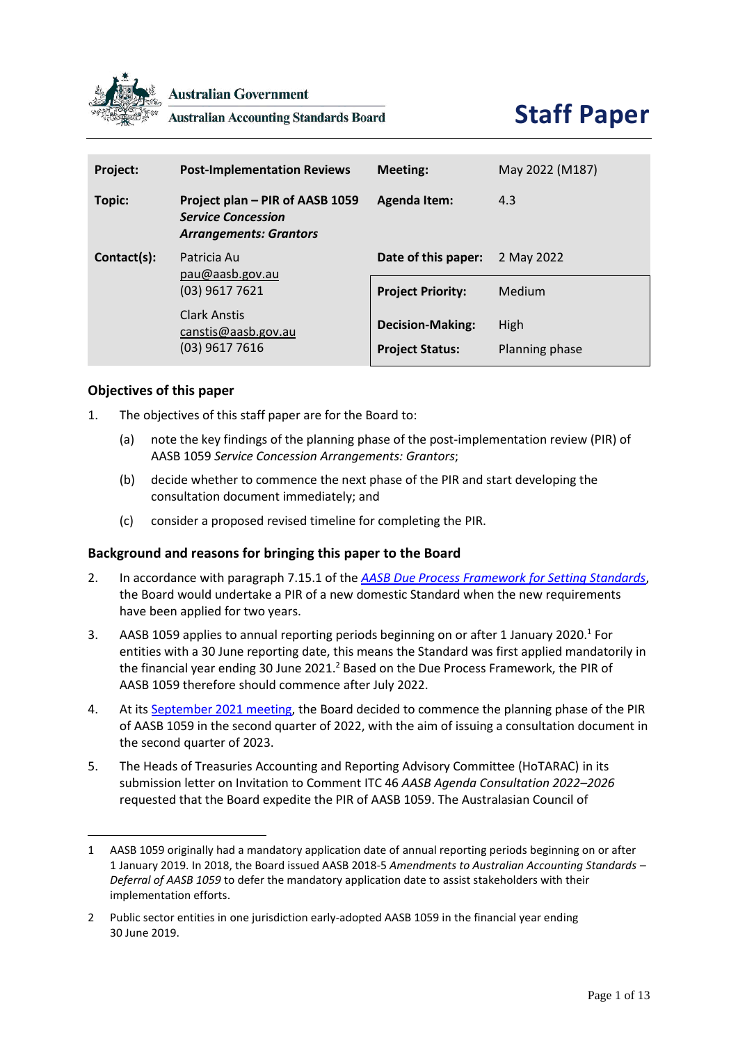

**Australian Government** 

**Australian Accounting Standards Board** 

| Project:    | <b>Post-Implementation Reviews</b>                                                                                   | Meeting:                                          | May 2022 (M187)        |
|-------------|----------------------------------------------------------------------------------------------------------------------|---------------------------------------------------|------------------------|
| Topic:      | Project plan - PIR of AASB 1059<br><b>Service Concession</b><br><b>Arrangements: Grantors</b>                        | <b>Agenda Item:</b>                               | 4.3                    |
| Contact(s): | Patricia Au<br>pau@aash.gov.au<br>$(03)$ 9617 7621<br><b>Clark Anstis</b><br>canstis@aasb.gov.au<br>$(03)$ 9617 7616 | Date of this paper:                               | 2 May 2022             |
|             |                                                                                                                      | <b>Project Priority:</b>                          | Medium                 |
|             |                                                                                                                      | <b>Decision-Making:</b><br><b>Project Status:</b> | High<br>Planning phase |

# **Objectives of this paper**

- 1. The objectives of this staff paper are for the Board to:
	- (a) note the key findings of the planning phase of the post-implementation review (PIR) of AASB 1059 *Service Concession Arrangements: Grantors*;
	- (b) decide whether to commence the next phase of the PIR and start developing the consultation document immediately; and
	- (c) consider a proposed revised timeline for completing the PIR.

# **Background and reasons for bringing this paper to the Board**

- 2. In accordance with paragraph 7.15.1 of the *[AASB Due Process Framework for Setting Standards](https://www.aasb.gov.au/admin/file/content102/c3/AASB_Due_Process_Framework_09-19.pdf)*, the Board would undertake a PIR of a new domestic Standard when the new requirements have been applied for two years.
- 3. AASB 1059 applies to annual reporting periods beginning on or after 1 January 2020.<sup>1</sup> For entities with a 30 June reporting date, this means the Standard was first applied mandatorily in the financial year ending 30 June 2021.<sup>2</sup> Based on the Due Process Framework, the PIR of AASB 1059 therefore should commence after July 2022.
- 4. At its [September 2021 meeting,](https://aasb.gov.au/media/5l2ptuyt/approvedaasbminutesm183sept21.pdf) the Board decided to commence the planning phase of the PIR of AASB 1059 in the second quarter of 2022, with the aim of issuing a consultation document in the second quarter of 2023.
- 5. The Heads of Treasuries Accounting and Reporting Advisory Committee (HoTARAC) in its submission letter on Invitation to Comment ITC 46 *AASB Agenda Consultation 2022–2026* requested that the Board expedite the PIR of AASB 1059. The Australasian Council of

<sup>1</sup> AASB 1059 originally had a mandatory application date of annual reporting periods beginning on or after 1 January 2019. In 2018, the Board issued AASB 2018-5 *Amendments to Australian Accounting Standards – Deferral of AASB 1059* to defer the mandatory application date to assist stakeholders with their implementation efforts.

<sup>2</sup> Public sector entities in one jurisdiction early-adopted AASB 1059 in the financial year ending 30 June 2019.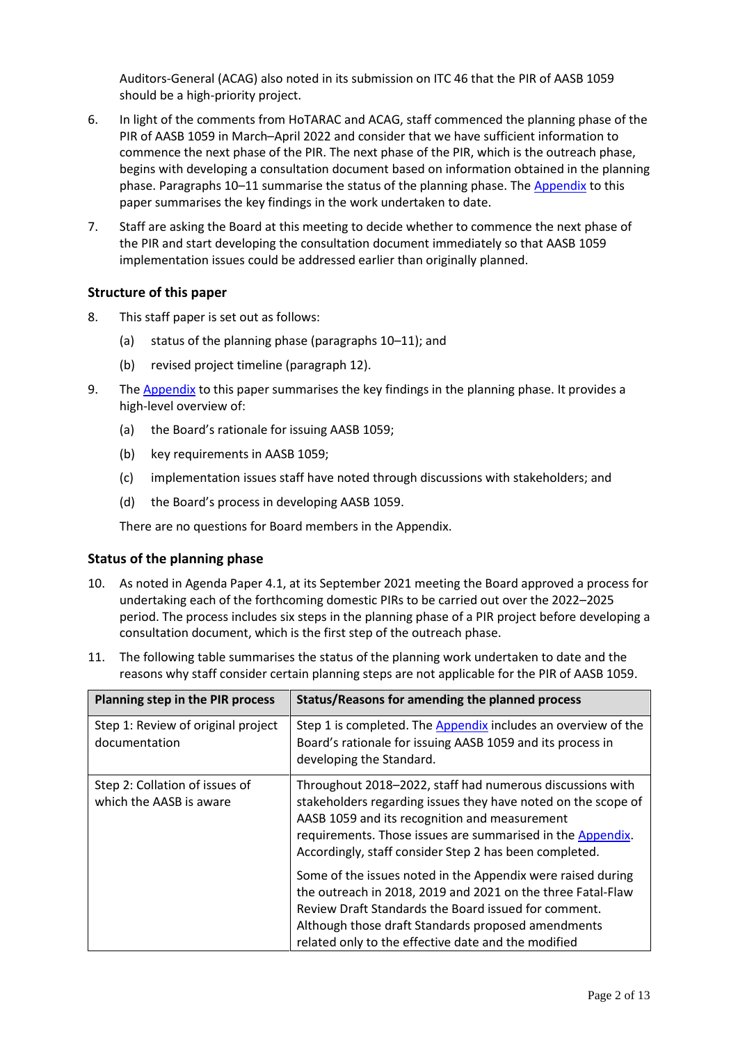Auditors-General (ACAG) also noted in its submission on ITC 46 that the PIR of AASB 1059 should be a high-priority project.

- 6. In light of the comments from HoTARAC and ACAG, staff commenced the planning phase of the PIR of AASB 1059 in March–April 2022 and consider that we have sufficient information to commence the next phase of the PIR. The next phase of the PIR, which is the outreach phase, begins with developing a consultation document based on information obtained in the planning phase. Paragraphs [10](#page-1-0)–[11](#page-1-1) summarise the status of the planning phase. The [Appendix](#page-4-0) to this paper summarises the key findings in the work undertaken to date.
- 7. Staff are asking the Board at this meeting to decide whether to commence the next phase of the PIR and start developing the consultation document immediately so that AASB 1059 implementation issues could be addressed earlier than originally planned.

# **Structure of this paper**

- 8. This staff paper is set out as follows:
	- (a) status of the planning phase (paragraphs [10](#page-1-0)–[11\)](#page-1-1); and
	- (b) revised project timeline (paragraph [12\)](#page-3-0).
- 9. Th[e Appendix](#page-4-0) to this paper summarises the key findings in the planning phase. It provides a high-level overview of:
	- (a) the Board's rationale for issuing AASB 1059;
	- (b) key requirements in AASB 1059;
	- (c) implementation issues staff have noted through discussions with stakeholders; and
	- (d) the Board's process in developing AASB 1059.

There are no questions for Board members in the Appendix.

## **Status of the planning phase**

- <span id="page-1-0"></span>10. As noted in Agenda Paper 4.1, at its September 2021 meeting the Board approved a process for undertaking each of the forthcoming domestic PIRs to be carried out over the 2022–2025 period. The process includes six steps in the planning phase of a PIR project before developing a consultation document, which is the first step of the outreach phase.
- <span id="page-1-1"></span>11. The following table summarises the status of the planning work undertaken to date and the reasons why staff consider certain planning steps are not applicable for the PIR of AASB 1059.

| Planning step in the PIR process                          | Status/Reasons for amending the planned process                                                                                                                                                                                                                                                     |
|-----------------------------------------------------------|-----------------------------------------------------------------------------------------------------------------------------------------------------------------------------------------------------------------------------------------------------------------------------------------------------|
| Step 1: Review of original project<br>documentation       | Step 1 is completed. The Appendix includes an overview of the<br>Board's rationale for issuing AASB 1059 and its process in<br>developing the Standard.                                                                                                                                             |
| Step 2: Collation of issues of<br>which the AASB is aware | Throughout 2018-2022, staff had numerous discussions with<br>stakeholders regarding issues they have noted on the scope of<br>AASB 1059 and its recognition and measurement<br>requirements. Those issues are summarised in the Appendix.<br>Accordingly, staff consider Step 2 has been completed. |
|                                                           | Some of the issues noted in the Appendix were raised during<br>the outreach in 2018, 2019 and 2021 on the three Fatal-Flaw<br>Review Draft Standards the Board issued for comment.<br>Although those draft Standards proposed amendments<br>related only to the effective date and the modified     |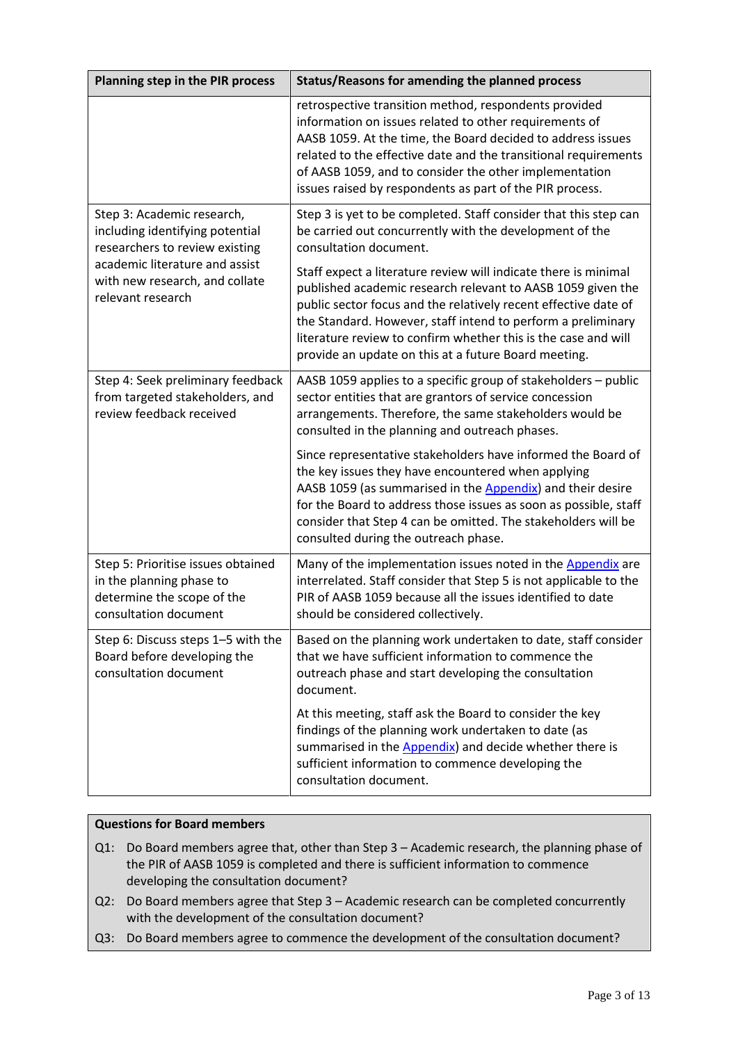| <b>Planning step in the PIR process</b>                                                                               | Status/Reasons for amending the planned process                                                                                                                                                                                                                                                                                                                                             |  |
|-----------------------------------------------------------------------------------------------------------------------|---------------------------------------------------------------------------------------------------------------------------------------------------------------------------------------------------------------------------------------------------------------------------------------------------------------------------------------------------------------------------------------------|--|
|                                                                                                                       | retrospective transition method, respondents provided<br>information on issues related to other requirements of<br>AASB 1059. At the time, the Board decided to address issues<br>related to the effective date and the transitional requirements<br>of AASB 1059, and to consider the other implementation<br>issues raised by respondents as part of the PIR process.                     |  |
| Step 3: Academic research,<br>including identifying potential<br>researchers to review existing                       | Step 3 is yet to be completed. Staff consider that this step can<br>be carried out concurrently with the development of the<br>consultation document.                                                                                                                                                                                                                                       |  |
| academic literature and assist<br>with new research, and collate<br>relevant research                                 | Staff expect a literature review will indicate there is minimal<br>published academic research relevant to AASB 1059 given the<br>public sector focus and the relatively recent effective date of<br>the Standard. However, staff intend to perform a preliminary<br>literature review to confirm whether this is the case and will<br>provide an update on this at a future Board meeting. |  |
| Step 4: Seek preliminary feedback<br>from targeted stakeholders, and<br>review feedback received                      | AASB 1059 applies to a specific group of stakeholders - public<br>sector entities that are grantors of service concession<br>arrangements. Therefore, the same stakeholders would be<br>consulted in the planning and outreach phases.                                                                                                                                                      |  |
|                                                                                                                       | Since representative stakeholders have informed the Board of<br>the key issues they have encountered when applying<br>AASB 1059 (as summarised in the Appendix) and their desire<br>for the Board to address those issues as soon as possible, staff<br>consider that Step 4 can be omitted. The stakeholders will be<br>consulted during the outreach phase.                               |  |
| Step 5: Prioritise issues obtained<br>in the planning phase to<br>determine the scope of the<br>consultation document | Many of the implementation issues noted in the Appendix are<br>interrelated. Staff consider that Step 5 is not applicable to the<br>PIR of AASB 1059 because all the issues identified to date<br>should be considered collectively.                                                                                                                                                        |  |
| Step 6: Discuss steps 1-5 with the<br>Board before developing the<br>consultation document                            | Based on the planning work undertaken to date, staff consider<br>that we have sufficient information to commence the<br>outreach phase and start developing the consultation<br>document.                                                                                                                                                                                                   |  |
|                                                                                                                       | At this meeting, staff ask the Board to consider the key<br>findings of the planning work undertaken to date (as<br>summarised in the <b>Appendix</b> ) and decide whether there is<br>sufficient information to commence developing the<br>consultation document.                                                                                                                          |  |

# **Questions for Board members**

- Q1: Do Board members agree that, other than Step 3 Academic research, the planning phase of the PIR of AASB 1059 is completed and there is sufficient information to commence developing the consultation document?
- Q2: Do Board members agree that Step 3 Academic research can be completed concurrently with the development of the consultation document?
- Q3: Do Board members agree to commence the development of the consultation document?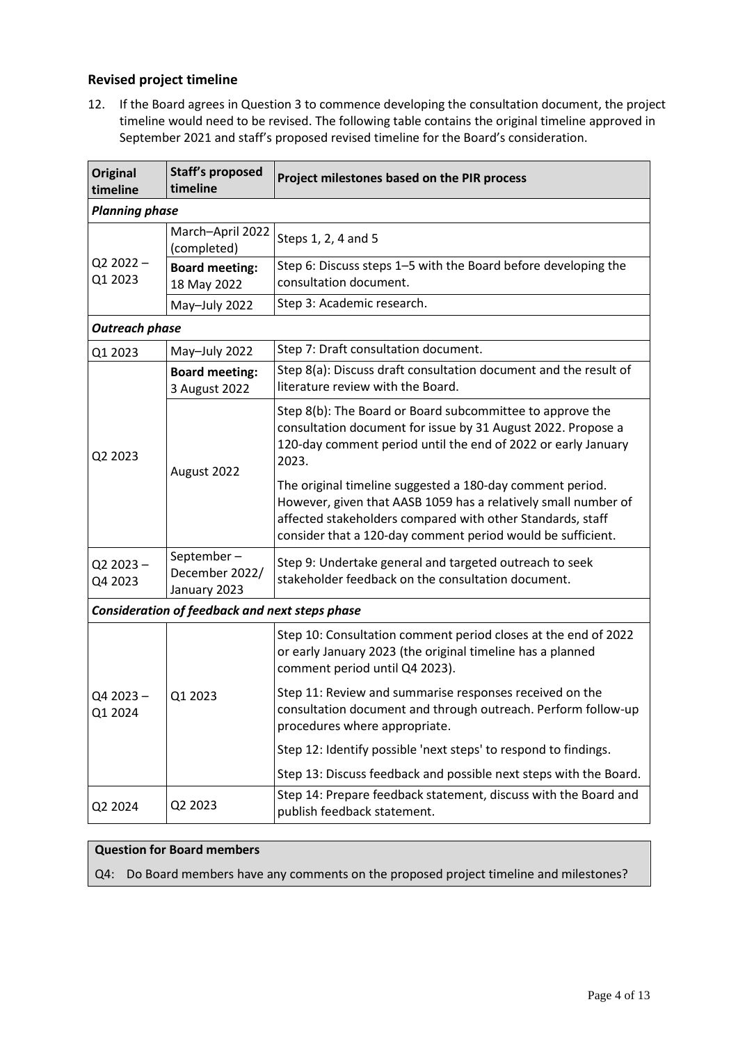# **Revised project timeline**

<span id="page-3-0"></span>12. If the Board agrees in Question 3 to commence developing the consultation document, the project timeline would need to be revised. The following table contains the original timeline approved in September 2021 and staff's proposed revised timeline for the Board's consideration.

| <b>Original</b><br>timeline | <b>Staff's proposed</b><br>timeline            | Project milestones based on the PIR process                                                                                                                                                                                                              |  |  |  |
|-----------------------------|------------------------------------------------|----------------------------------------------------------------------------------------------------------------------------------------------------------------------------------------------------------------------------------------------------------|--|--|--|
|                             | <b>Planning phase</b>                          |                                                                                                                                                                                                                                                          |  |  |  |
| $Q22022 -$<br>Q1 2023       | March-April 2022<br>(completed)                | Steps 1, 2, 4 and 5                                                                                                                                                                                                                                      |  |  |  |
|                             | <b>Board meeting:</b><br>18 May 2022           | Step 6: Discuss steps 1-5 with the Board before developing the<br>consultation document.                                                                                                                                                                 |  |  |  |
|                             | May-July 2022                                  | Step 3: Academic research.                                                                                                                                                                                                                               |  |  |  |
| <b>Outreach phase</b>       |                                                |                                                                                                                                                                                                                                                          |  |  |  |
| Q1 2023                     | May-July 2022                                  | Step 7: Draft consultation document.                                                                                                                                                                                                                     |  |  |  |
| Q2 2023                     | <b>Board meeting:</b><br>3 August 2022         | Step 8(a): Discuss draft consultation document and the result of<br>literature review with the Board.                                                                                                                                                    |  |  |  |
|                             | August 2022                                    | Step 8(b): The Board or Board subcommittee to approve the<br>consultation document for issue by 31 August 2022. Propose a<br>120-day comment period until the end of 2022 or early January<br>2023.                                                      |  |  |  |
|                             |                                                | The original timeline suggested a 180-day comment period.<br>However, given that AASB 1059 has a relatively small number of<br>affected stakeholders compared with other Standards, staff<br>consider that a 120-day comment period would be sufficient. |  |  |  |
| $Q22023 -$<br>Q4 2023       | September-<br>December 2022/<br>January 2023   | Step 9: Undertake general and targeted outreach to seek<br>stakeholder feedback on the consultation document.                                                                                                                                            |  |  |  |
|                             | Consideration of feedback and next steps phase |                                                                                                                                                                                                                                                          |  |  |  |
| Q4 2023-<br>01 2024         | Q1 2023                                        | Step 10: Consultation comment period closes at the end of 2022<br>or early January 2023 (the original timeline has a planned<br>comment period until Q4 2023).                                                                                           |  |  |  |
|                             |                                                | Step 11: Review and summarise responses received on the<br>consultation document and through outreach. Perform follow-up<br>procedures where appropriate.                                                                                                |  |  |  |
|                             |                                                | Step 12: Identify possible 'next steps' to respond to findings.                                                                                                                                                                                          |  |  |  |
|                             |                                                | Step 13: Discuss feedback and possible next steps with the Board.                                                                                                                                                                                        |  |  |  |
| Q2 2024                     | Q2 2023                                        | Step 14: Prepare feedback statement, discuss with the Board and<br>publish feedback statement.                                                                                                                                                           |  |  |  |

# **Question for Board members**

Q4: Do Board members have any comments on the proposed project timeline and milestones?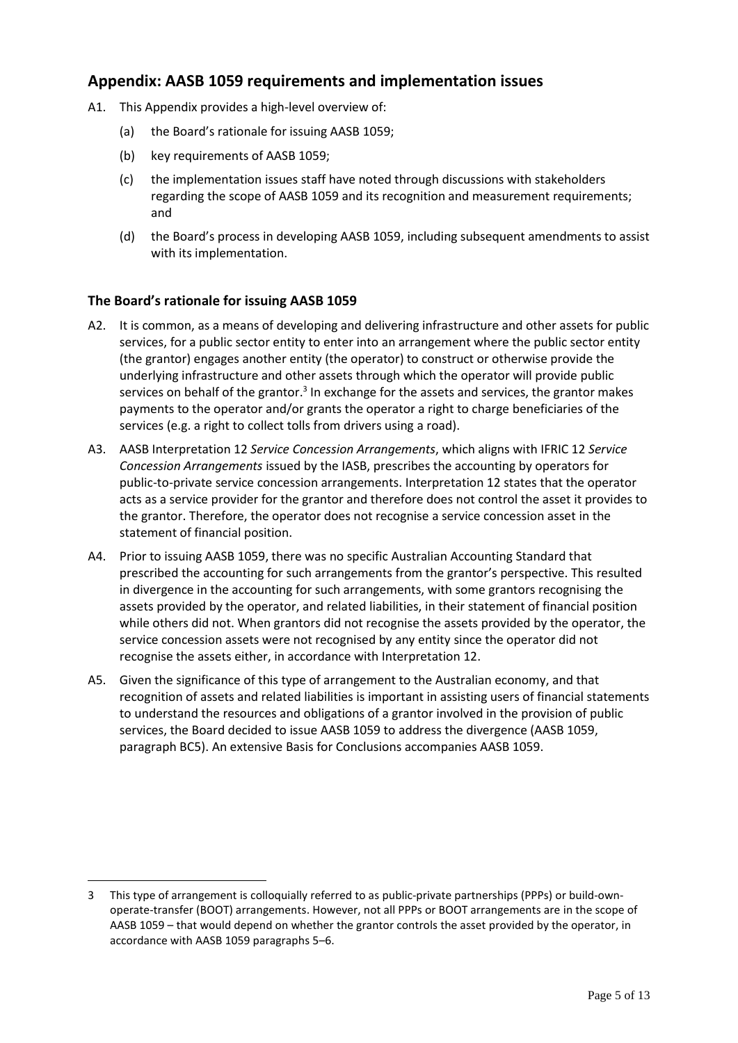# <span id="page-4-0"></span>**Appendix: AASB 1059 requirements and implementation issues**

- A1. This Appendix provides a high-level overview of:
	- (a) the Board's rationale for issuing AASB 1059;
	- (b) key requirements of AASB 1059;
	- (c) the implementation issues staff have noted through discussions with stakeholders regarding the scope of AASB 1059 and its recognition and measurement requirements; and
	- (d) the Board's process in developing AASB 1059, including subsequent amendments to assist with its implementation.

# **The Board's rationale for issuing AASB 1059**

- A2. It is common, as a means of developing and delivering infrastructure and other assets for public services, for a public sector entity to enter into an arrangement where the public sector entity (the grantor) engages another entity (the operator) to construct or otherwise provide the underlying infrastructure and other assets through which the operator will provide public services on behalf of the grantor.<sup>3</sup> In exchange for the assets and services, the grantor makes payments to the operator and/or grants the operator a right to charge beneficiaries of the services (e.g. a right to collect tolls from drivers using a road).
- A3. AASB Interpretation 12 *Service Concession Arrangements*, which aligns with IFRIC 12 *Service Concession Arrangements* issued by the IASB, prescribes the accounting by operators for public-to-private service concession arrangements. Interpretation 12 states that the operator acts as a service provider for the grantor and therefore does not control the asset it provides to the grantor. Therefore, the operator does not recognise a service concession asset in the statement of financial position.
- A4. Prior to issuing AASB 1059, there was no specific Australian Accounting Standard that prescribed the accounting for such arrangements from the grantor's perspective. This resulted in divergence in the accounting for such arrangements, with some grantors recognising the assets provided by the operator, and related liabilities, in their statement of financial position while others did not. When grantors did not recognise the assets provided by the operator, the service concession assets were not recognised by any entity since the operator did not recognise the assets either, in accordance with Interpretation 12.
- A5. Given the significance of this type of arrangement to the Australian economy, and that recognition of assets and related liabilities is important in assisting users of financial statements to understand the resources and obligations of a grantor involved in the provision of public services, the Board decided to issue AASB 1059 to address the divergence (AASB 1059, paragraph BC5). An extensive Basis for Conclusions accompanies AASB 1059.

<sup>3</sup> This type of arrangement is colloquially referred to as public-private partnerships (PPPs) or build-ownoperate-transfer (BOOT) arrangements. However, not all PPPs or BOOT arrangements are in the scope of AASB 1059 – that would depend on whether the grantor controls the asset provided by the operator, in accordance with AASB 1059 paragraphs 5–6.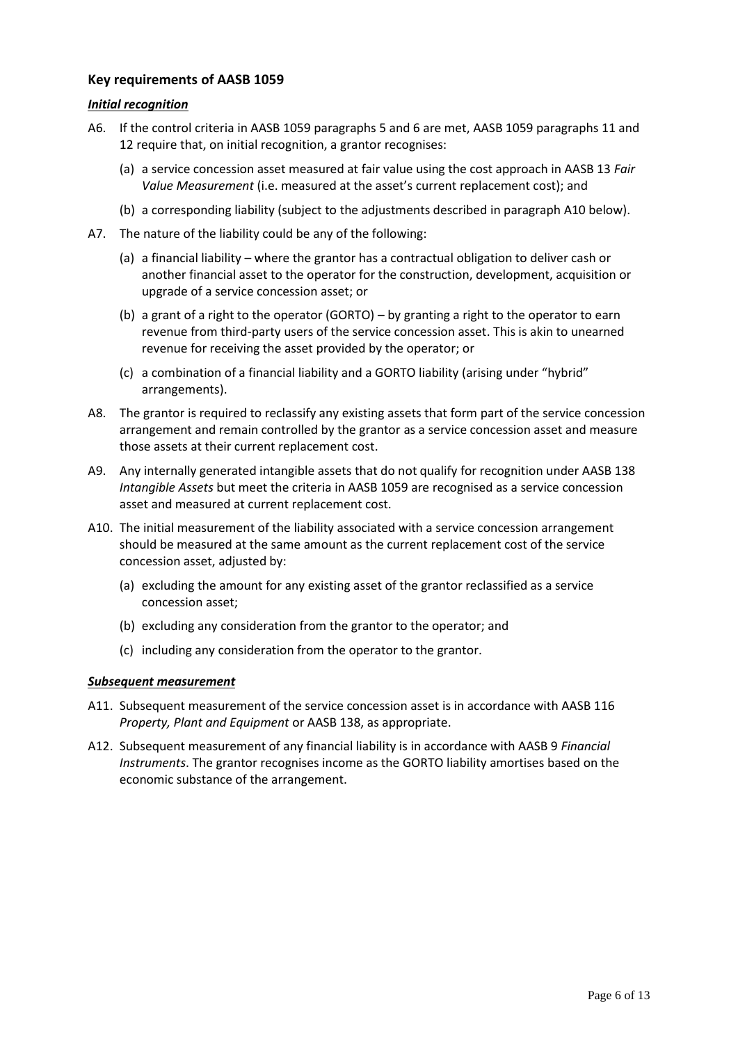# **Key requirements of AASB 1059**

## *Initial recognition*

- <span id="page-5-1"></span>A6. If the control criteria in AASB 1059 paragraphs 5 and 6 are met, AASB 1059 paragraphs 11 and 12 require that, on initial recognition, a grantor recognises:
	- (a) a service concession asset measured at fair value using the cost approach in AASB 13 *Fair Value Measurement* (i.e. measured at the asset's current replacement cost); and
	- (b) a corresponding liability (subject to the adjustments described in paragraph [A10](#page-5-0) below).
- A7. The nature of the liability could be any of the following:
	- (a) a financial liability where the grantor has a contractual obligation to deliver cash or another financial asset to the operator for the construction, development, acquisition or upgrade of a service concession asset; or
	- (b) a grant of a right to the operator (GORTO) by granting a right to the operator to earn revenue from third-party users of the service concession asset. This is akin to unearned revenue for receiving the asset provided by the operator; or
	- (c) a combination of a financial liability and a GORTO liability (arising under "hybrid" arrangements).
- A8. The grantor is required to reclassify any existing assets that form part of the service concession arrangement and remain controlled by the grantor as a service concession asset and measure those assets at their current replacement cost.
- A9. Any internally generated intangible assets that do not qualify for recognition under AASB 138 *Intangible Assets* but meet the criteria in AASB 1059 are recognised as a service concession asset and measured at current replacement cost.
- <span id="page-5-0"></span>A10. The initial measurement of the liability associated with a service concession arrangement should be measured at the same amount as the current replacement cost of the service concession asset, adjusted by:
	- (a) excluding the amount for any existing asset of the grantor reclassified as a service concession asset;
	- (b) excluding any consideration from the grantor to the operator; and
	- (c) including any consideration from the operator to the grantor.

## *Subsequent measurement*

- A11. Subsequent measurement of the service concession asset is in accordance with AASB 116 *Property, Plant and Equipment* or AASB 138, as appropriate.
- A12. Subsequent measurement of any financial liability is in accordance with AASB 9 *Financial Instruments*. The grantor recognises income as the GORTO liability amortises based on the economic substance of the arrangement.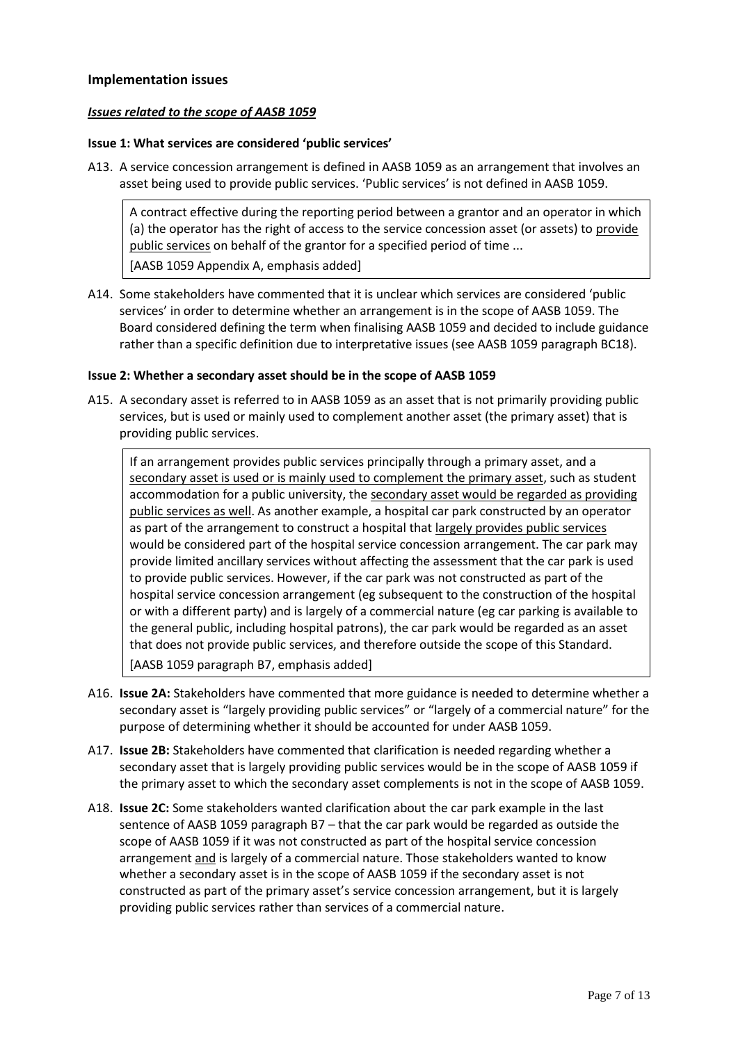## **Implementation issues**

### *Issues related to the scope of AASB 1059*

### **Issue 1: What services are considered 'public services'**

A13. A service concession arrangement is defined in AASB 1059 as an arrangement that involves an asset being used to provide public services. 'Public services' is not defined in AASB 1059.

A contract effective during the reporting period between a grantor and an operator in which (a) the operator has the right of access to the service concession asset (or assets) to provide public services on behalf of the grantor for a specified period of time ... [AASB 1059 Appendix A, emphasis added]

A14. Some stakeholders have commented that it is unclear which services are considered 'public services' in order to determine whether an arrangement is in the scope of AASB 1059. The Board considered defining the term when finalising AASB 1059 and decided to include guidance rather than a specific definition due to interpretative issues (see AASB 1059 paragraph BC18).

#### **Issue 2: Whether a secondary asset should be in the scope of AASB 1059**

A15. A secondary asset is referred to in AASB 1059 as an asset that is not primarily providing public services, but is used or mainly used to complement another asset (the primary asset) that is providing public services.

If an arrangement provides public services principally through a primary asset, and a secondary asset is used or is mainly used to complement the primary asset, such as student accommodation for a public university, the secondary asset would be regarded as providing public services as well. As another example, a hospital car park constructed by an operator as part of the arrangement to construct a hospital that largely provides public services would be considered part of the hospital service concession arrangement. The car park may provide limited ancillary services without affecting the assessment that the car park is used to provide public services. However, if the car park was not constructed as part of the hospital service concession arrangement (eg subsequent to the construction of the hospital or with a different party) and is largely of a commercial nature (eg car parking is available to the general public, including hospital patrons), the car park would be regarded as an asset that does not provide public services, and therefore outside the scope of this Standard. [AASB 1059 paragraph B7, emphasis added]

- A16. **Issue 2A:** Stakeholders have commented that more guidance is needed to determine whether a secondary asset is "largely providing public services" or "largely of a commercial nature" for the purpose of determining whether it should be accounted for under AASB 1059.
- A17. **Issue 2B:** Stakeholders have commented that clarification is needed regarding whether a secondary asset that is largely providing public services would be in the scope of AASB 1059 if the primary asset to which the secondary asset complements is not in the scope of AASB 1059.
- A18. **Issue 2C:** Some stakeholders wanted clarification about the car park example in the last sentence of AASB 1059 paragraph B7 – that the car park would be regarded as outside the scope of AASB 1059 if it was not constructed as part of the hospital service concession arrangement and is largely of a commercial nature. Those stakeholders wanted to know whether a secondary asset is in the scope of AASB 1059 if the secondary asset is not constructed as part of the primary asset's service concession arrangement, but it is largely providing public services rather than services of a commercial nature.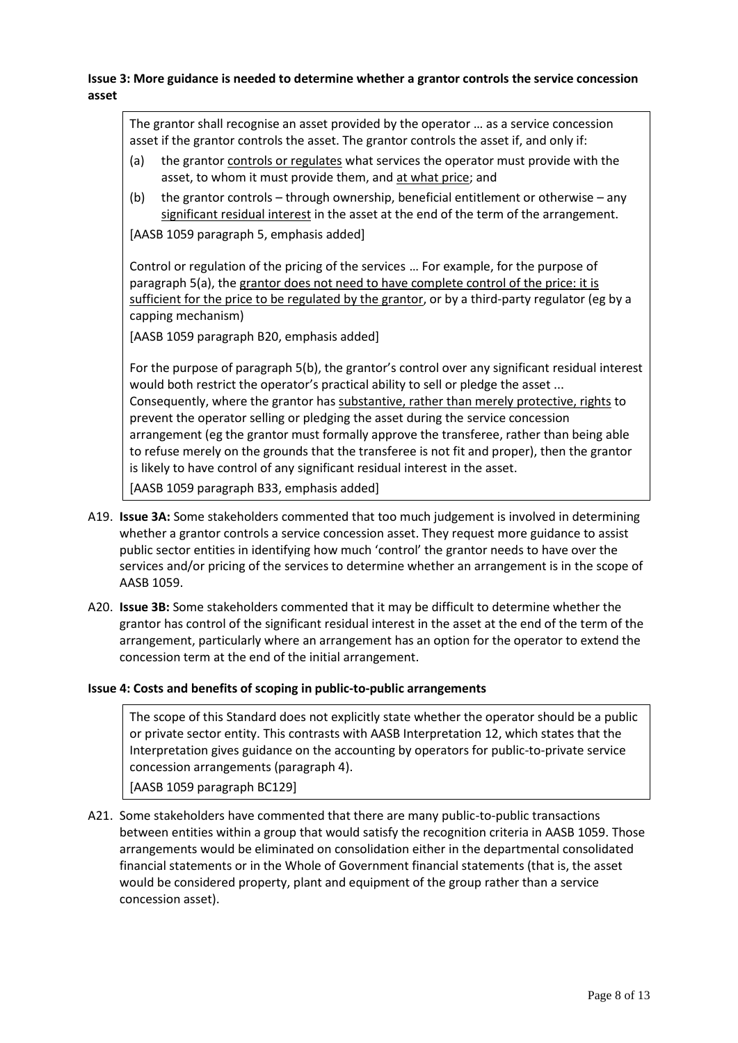**Issue 3: More guidance is needed to determine whether a grantor controls the service concession asset**

The grantor shall recognise an asset provided by the operator … as a service concession asset if the grantor controls the asset. The grantor controls the asset if, and only if:

- (a) the grantor controls or regulates what services the operator must provide with the asset, to whom it must provide them, and at what price; and
- (b) the grantor controls through ownership, beneficial entitlement or otherwise any significant residual interest in the asset at the end of the term of the arrangement.

[AASB 1059 paragraph 5, emphasis added]

Control or regulation of the pricing of the services … For example, for the purpose of paragraph 5(a), the grantor does not need to have complete control of the price: it is sufficient for the price to be regulated by the grantor, or by a third-party regulator (eg by a capping mechanism)

[AASB 1059 paragraph B20, emphasis added]

For the purpose of paragraph 5(b), the grantor's control over any significant residual interest would both restrict the operator's practical ability to sell or pledge the asset ... Consequently, where the grantor has substantive, rather than merely protective, rights to prevent the operator selling or pledging the asset during the service concession arrangement (eg the grantor must formally approve the transferee, rather than being able to refuse merely on the grounds that the transferee is not fit and proper), then the grantor is likely to have control of any significant residual interest in the asset.

[AASB 1059 paragraph B33, emphasis added]

- A19. **Issue 3A:** Some stakeholders commented that too much judgement is involved in determining whether a grantor controls a service concession asset. They request more guidance to assist public sector entities in identifying how much 'control' the grantor needs to have over the services and/or pricing of the services to determine whether an arrangement is in the scope of AASB 1059.
- A20. **Issue 3B:** Some stakeholders commented that it may be difficult to determine whether the grantor has control of the significant residual interest in the asset at the end of the term of the arrangement, particularly where an arrangement has an option for the operator to extend the concession term at the end of the initial arrangement.

## **Issue 4: Costs and benefits of scoping in public-to-public arrangements**

The scope of this Standard does not explicitly state whether the operator should be a public or private sector entity. This contrasts with AASB Interpretation 12, which states that the Interpretation gives guidance on the accounting by operators for public-to-private service concession arrangements (paragraph 4).

[AASB 1059 paragraph BC129]

A21. Some stakeholders have commented that there are many public-to-public transactions between entities within a group that would satisfy the recognition criteria in AASB 1059. Those arrangements would be eliminated on consolidation either in the departmental consolidated financial statements or in the Whole of Government financial statements (that is, the asset would be considered property, plant and equipment of the group rather than a service concession asset).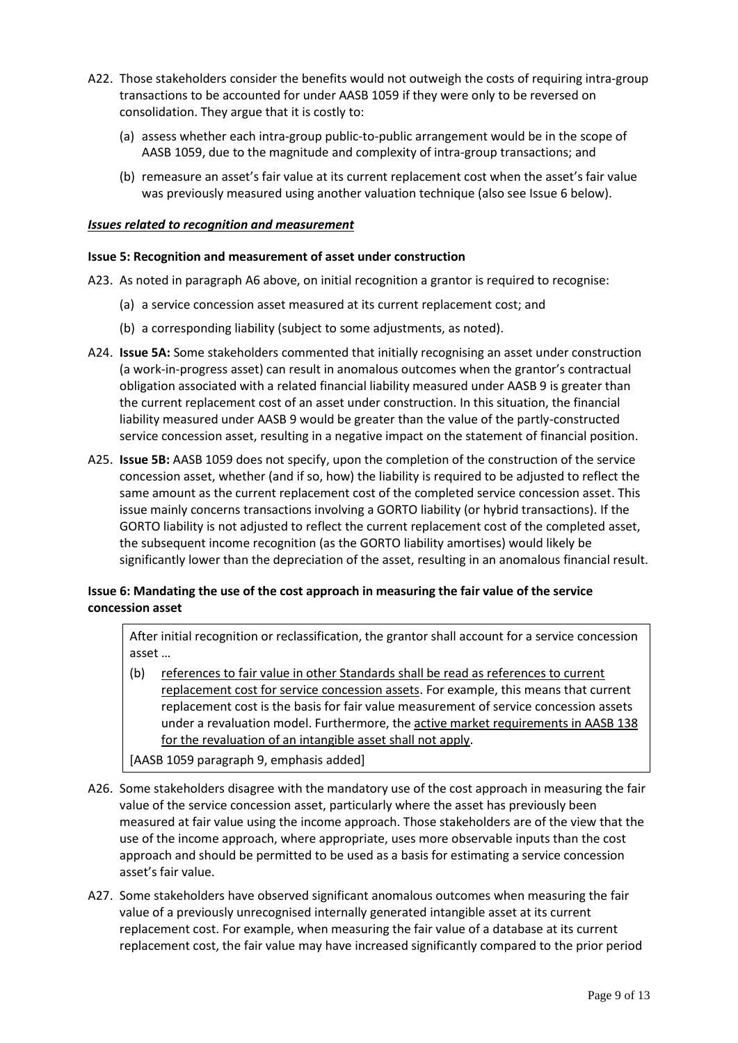- A22. Those stakeholders consider the benefits would not outweigh the costs of requiring intra-group transactions to be accounted for under AASB 1059 if they were only to be reversed on consolidation. They argue that it is costly to:
	- (a) assess whether each intra-group public-to-public arrangement would be in the scope of AASB 1059, due to the magnitude and complexity of intra-group transactions; and
	- (b) remeasure an asset's fair value at its current replacement cost when the asset's fair value was previously measured using another valuation technique (also see Issue 6 below).

### *Issues related to recognition and measurement*

#### **Issue 5: Recognition and measurement of asset under construction**

- A23. As noted in paragraph [A6](#page-5-1) above, on initial recognition a grantor is required to recognise:
	- (a) a service concession asset measured at its current replacement cost; and
	- (b) a corresponding liability (subject to some adjustments, as noted).
- A24. **Issue 5A:** Some stakeholders commented that initially recognising an asset under construction (a work-in-progress asset) can result in anomalous outcomes when the grantor's contractual obligation associated with a related financial liability measured under AASB 9 is greater than the current replacement cost of an asset under construction. In this situation, the financial liability measured under AASB 9 would be greater than the value of the partly-constructed service concession asset, resulting in a negative impact on the statement of financial position.
- A25. **Issue 5B:** AASB 1059 does not specify, upon the completion of the construction of the service concession asset, whether (and if so, how) the liability is required to be adjusted to reflect the same amount as the current replacement cost of the completed service concession asset. This issue mainly concerns transactions involving a GORTO liability (or hybrid transactions). If the GORTO liability is not adjusted to reflect the current replacement cost of the completed asset, the subsequent income recognition (as the GORTO liability amortises) would likely be significantly lower than the depreciation of the asset, resulting in an anomalous financial result.

# **Issue 6: Mandating the use of the cost approach in measuring the fair value of the service concession asset**

After initial recognition or reclassification, the grantor shall account for a service concession asset …

- (b) references to fair value in other Standards shall be read as references to current replacement cost for service concession assets. For example, this means that current replacement cost is the basis for fair value measurement of service concession assets under a revaluation model. Furthermore, the active market requirements in AASB 138 for the revaluation of an intangible asset shall not apply.
- [AASB 1059 paragraph 9, emphasis added]
- A26. Some stakeholders disagree with the mandatory use of the cost approach in measuring the fair value of the service concession asset, particularly where the asset has previously been measured at fair value using the income approach. Those stakeholders are of the view that the use of the income approach, where appropriate, uses more observable inputs than the cost approach and should be permitted to be used as a basis for estimating a service concession asset's fair value.
- A27. Some stakeholders have observed significant anomalous outcomes when measuring the fair value of a previously unrecognised internally generated intangible asset at its current replacement cost. For example, when measuring the fair value of a database at its current replacement cost, the fair value may have increased significantly compared to the prior period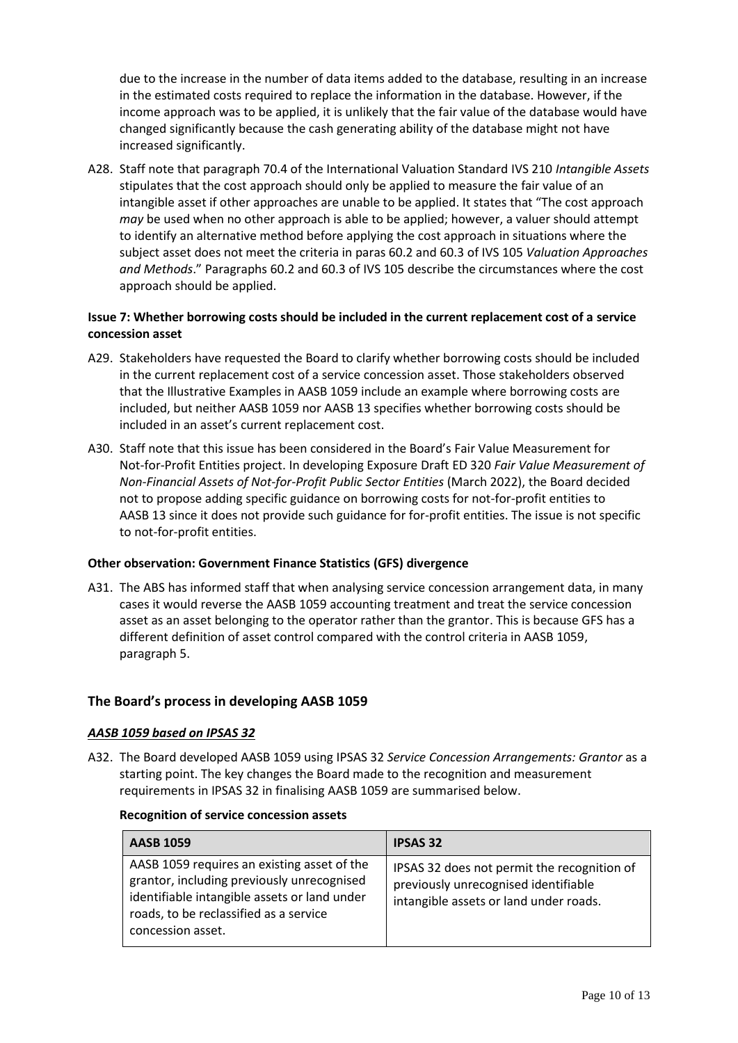due to the increase in the number of data items added to the database, resulting in an increase in the estimated costs required to replace the information in the database. However, if the income approach was to be applied, it is unlikely that the fair value of the database would have changed significantly because the cash generating ability of the database might not have increased significantly.

A28. Staff note that paragraph 70.4 of the International Valuation Standard IVS 210 *Intangible Assets* stipulates that the cost approach should only be applied to measure the fair value of an intangible asset if other approaches are unable to be applied. It states that "The cost approach *may* be used when no other approach is able to be applied; however, a valuer should attempt to identify an alternative method before applying the cost approach in situations where the subject asset does not meet the criteria in paras 60.2 and 60.3 of IVS 105 *Valuation Approaches and Methods*." Paragraphs 60.2 and 60.3 of IVS 105 describe the circumstances where the cost approach should be applied.

# **Issue 7: Whether borrowing costs should be included in the current replacement cost of a service concession asset**

- A29. Stakeholders have requested the Board to clarify whether borrowing costs should be included in the current replacement cost of a service concession asset. Those stakeholders observed that the Illustrative Examples in AASB 1059 include an example where borrowing costs are included, but neither AASB 1059 nor AASB 13 specifies whether borrowing costs should be included in an asset's current replacement cost.
- A30. Staff note that this issue has been considered in the Board's Fair Value Measurement for Not-for-Profit Entities project. In developing Exposure Draft ED 320 *Fair Value Measurement of Non-Financial Assets of Not-for-Profit Public Sector Entities* (March 2022), the Board decided not to propose adding specific guidance on borrowing costs for not-for-profit entities to AASB 13 since it does not provide such guidance for for-profit entities. The issue is not specific to not-for-profit entities.

## **Other observation: Government Finance Statistics (GFS) divergence**

A31. The ABS has informed staff that when analysing service concession arrangement data, in many cases it would reverse the AASB 1059 accounting treatment and treat the service concession asset as an asset belonging to the operator rather than the grantor. This is because GFS has a different definition of asset control compared with the control criteria in AASB 1059, paragraph 5.

# **The Board's process in developing AASB 1059**

## *AASB 1059 based on IPSAS 32*

A32. The Board developed AASB 1059 using IPSAS 32 *Service Concession Arrangements: Grantor* as a starting point. The key changes the Board made to the recognition and measurement requirements in IPSAS 32 in finalising AASB 1059 are summarised below.

#### **Recognition of service concession assets**

| <b>AASB 1059</b>                                                                                                                                                                                         | <b>IPSAS 32</b>                                                                                                               |
|----------------------------------------------------------------------------------------------------------------------------------------------------------------------------------------------------------|-------------------------------------------------------------------------------------------------------------------------------|
| AASB 1059 requires an existing asset of the<br>grantor, including previously unrecognised<br>identifiable intangible assets or land under<br>roads, to be reclassified as a service<br>concession asset. | IPSAS 32 does not permit the recognition of<br>previously unrecognised identifiable<br>intangible assets or land under roads. |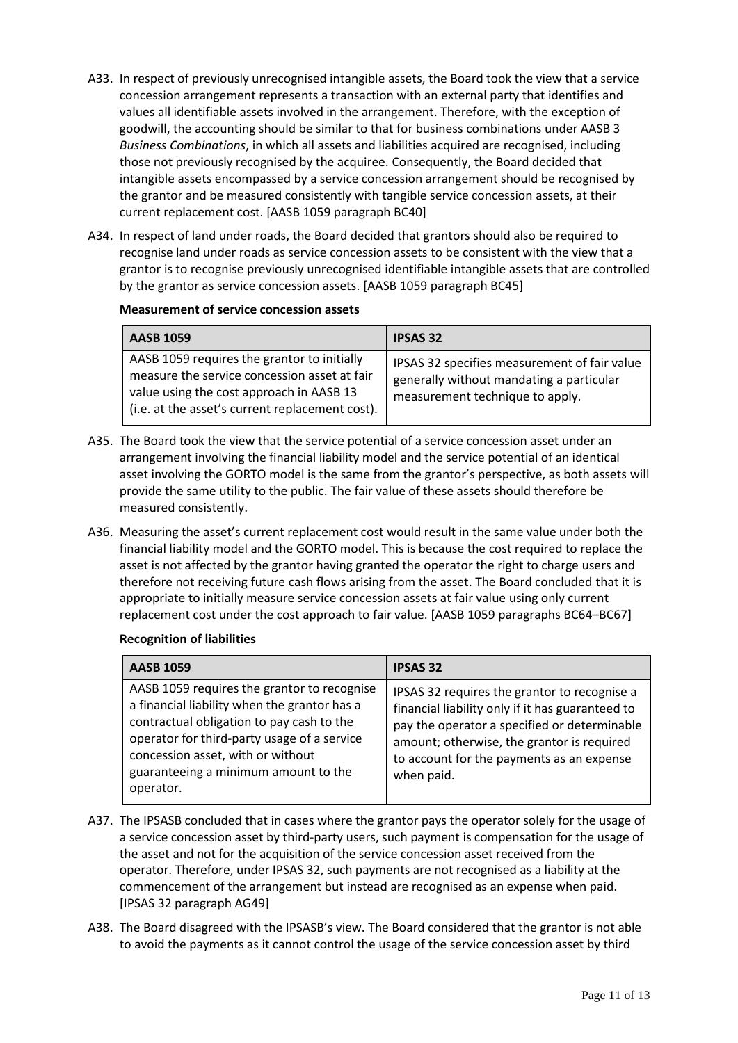- A33. In respect of previously unrecognised intangible assets, the Board took the view that a service concession arrangement represents a transaction with an external party that identifies and values all identifiable assets involved in the arrangement. Therefore, with the exception of goodwill, the accounting should be similar to that for business combinations under AASB 3 *Business Combinations*, in which all assets and liabilities acquired are recognised, including those not previously recognised by the acquiree. Consequently, the Board decided that intangible assets encompassed by a service concession arrangement should be recognised by the grantor and be measured consistently with tangible service concession assets, at their current replacement cost. [AASB 1059 paragraph BC40]
- A34. In respect of land under roads, the Board decided that grantors should also be required to recognise land under roads as service concession assets to be consistent with the view that a grantor is to recognise previously unrecognised identifiable intangible assets that are controlled by the grantor as service concession assets. [AASB 1059 paragraph BC45]

## **Measurement of service concession assets**

| <b>AASB 1059</b>                                                                                                                                                                           | <b>IPSAS 32</b>                                                                                                             |
|--------------------------------------------------------------------------------------------------------------------------------------------------------------------------------------------|-----------------------------------------------------------------------------------------------------------------------------|
| AASB 1059 requires the grantor to initially<br>measure the service concession asset at fair<br>value using the cost approach in AASB 13<br>(i.e. at the asset's current replacement cost). | IPSAS 32 specifies measurement of fair value<br>generally without mandating a particular<br>measurement technique to apply. |

- A35. The Board took the view that the service potential of a service concession asset under an arrangement involving the financial liability model and the service potential of an identical asset involving the GORTO model is the same from the grantor's perspective, as both assets will provide the same utility to the public. The fair value of these assets should therefore be measured consistently.
- A36. Measuring the asset's current replacement cost would result in the same value under both the financial liability model and the GORTO model. This is because the cost required to replace the asset is not affected by the grantor having granted the operator the right to charge users and therefore not receiving future cash flows arising from the asset. The Board concluded that it is appropriate to initially measure service concession assets at fair value using only current replacement cost under the cost approach to fair value. [AASB 1059 paragraphs BC64–BC67]

## **Recognition of liabilities**

| <b>AASB 1059</b>                                                                                                                                                                                                                                                                  | <b>IPSAS 32</b>                                                                                                                                                                                                                                           |
|-----------------------------------------------------------------------------------------------------------------------------------------------------------------------------------------------------------------------------------------------------------------------------------|-----------------------------------------------------------------------------------------------------------------------------------------------------------------------------------------------------------------------------------------------------------|
| AASB 1059 requires the grantor to recognise<br>a financial liability when the grantor has a<br>contractual obligation to pay cash to the<br>operator for third-party usage of a service<br>concession asset, with or without<br>guaranteeing a minimum amount to the<br>operator. | IPSAS 32 requires the grantor to recognise a<br>financial liability only if it has guaranteed to<br>pay the operator a specified or determinable<br>amount; otherwise, the grantor is required<br>to account for the payments as an expense<br>when paid. |

- A37. The IPSASB concluded that in cases where the grantor pays the operator solely for the usage of a service concession asset by third-party users, such payment is compensation for the usage of the asset and not for the acquisition of the service concession asset received from the operator. Therefore, under IPSAS 32, such payments are not recognised as a liability at the commencement of the arrangement but instead are recognised as an expense when paid. [IPSAS 32 paragraph AG49]
- A38. The Board disagreed with the IPSASB's view. The Board considered that the grantor is not able to avoid the payments as it cannot control the usage of the service concession asset by third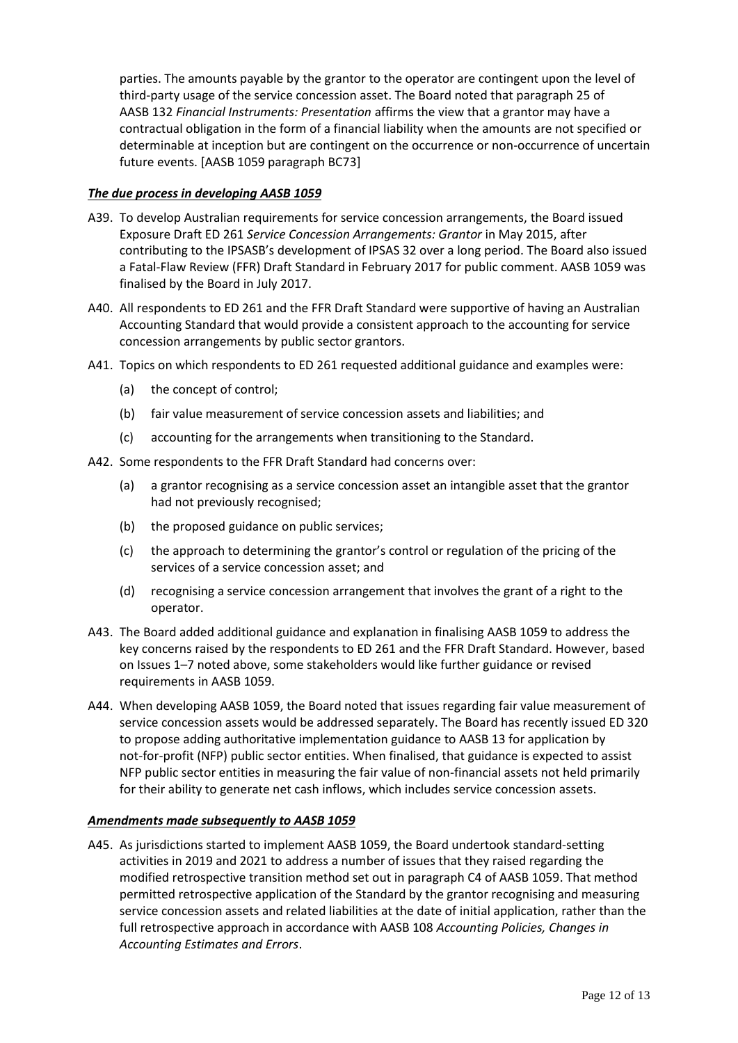parties. The amounts payable by the grantor to the operator are contingent upon the level of third-party usage of the service concession asset. The Board noted that paragraph 25 of AASB 132 *Financial Instruments: Presentation* affirms the view that a grantor may have a contractual obligation in the form of a financial liability when the amounts are not specified or determinable at inception but are contingent on the occurrence or non-occurrence of uncertain future events. [AASB 1059 paragraph BC73]

# *The due process in developing AASB 1059*

- A39. To develop Australian requirements for service concession arrangements, the Board issued Exposure Draft ED 261 *Service Concession Arrangements: Grantor* in May 2015, after contributing to the IPSASB's development of IPSAS 32 over a long period. The Board also issued a Fatal-Flaw Review (FFR) Draft Standard in February 2017 for public comment. AASB 1059 was finalised by the Board in July 2017.
- A40. All respondents to ED 261 and the FFR Draft Standard were supportive of having an Australian Accounting Standard that would provide a consistent approach to the accounting for service concession arrangements by public sector grantors.
- A41. Topics on which respondents to ED 261 requested additional guidance and examples were:
	- (a) the concept of control;
	- (b) fair value measurement of service concession assets and liabilities; and
	- (c) accounting for the arrangements when transitioning to the Standard.
- A42. Some respondents to the FFR Draft Standard had concerns over:
	- (a) a grantor recognising as a service concession asset an intangible asset that the grantor had not previously recognised;
	- (b) the proposed guidance on public services;
	- (c) the approach to determining the grantor's control or regulation of the pricing of the services of a service concession asset; and
	- (d) recognising a service concession arrangement that involves the grant of a right to the operator.
- A43. The Board added additional guidance and explanation in finalising AASB 1059 to address the key concerns raised by the respondents to ED 261 and the FFR Draft Standard. However, based on Issues 1–7 noted above, some stakeholders would like further guidance or revised requirements in AASB 1059.
- A44. When developing AASB 1059, the Board noted that issues regarding fair value measurement of service concession assets would be addressed separately. The Board has recently issued ED 320 to propose adding authoritative implementation guidance to AASB 13 for application by not-for-profit (NFP) public sector entities. When finalised, that guidance is expected to assist NFP public sector entities in measuring the fair value of non-financial assets not held primarily for their ability to generate net cash inflows, which includes service concession assets.

## *Amendments made subsequently to AASB 1059*

A45. As jurisdictions started to implement AASB 1059, the Board undertook standard-setting activities in 2019 and 2021 to address a number of issues that they raised regarding the modified retrospective transition method set out in paragraph C4 of AASB 1059. That method permitted retrospective application of the Standard by the grantor recognising and measuring service concession assets and related liabilities at the date of initial application, rather than the full retrospective approach in accordance with AASB 108 *Accounting Policies, Changes in Accounting Estimates and Errors*.